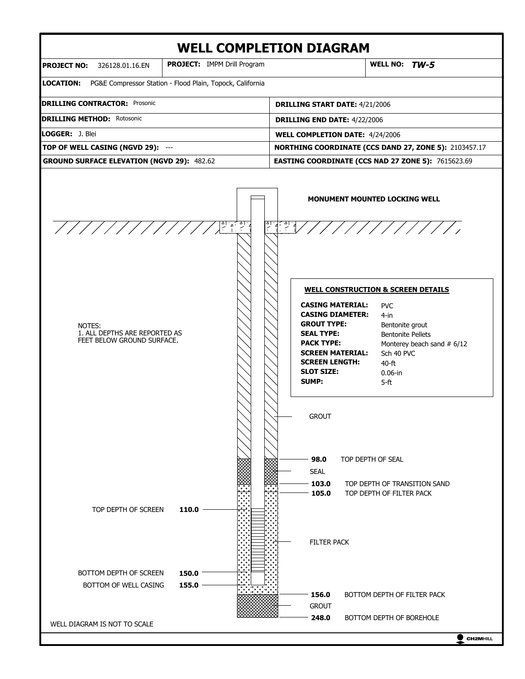